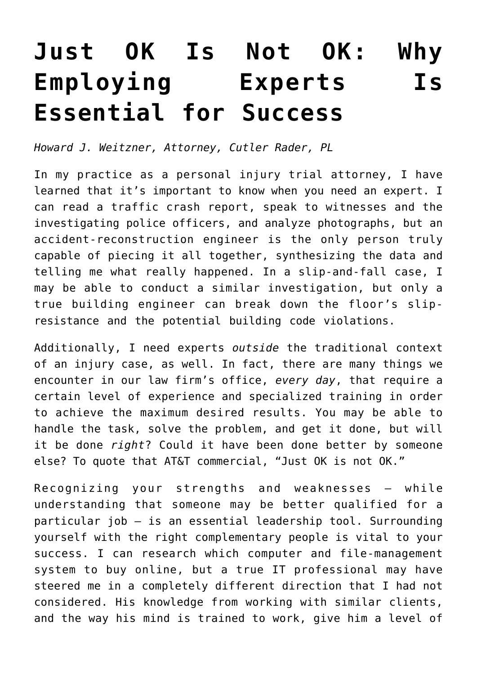## **[Just OK Is Not OK: Why](https://www.commpro.biz/just-ok-is-not-ok-why-employing-experts-is-essential-for-success/) [Employing Experts Is](https://www.commpro.biz/just-ok-is-not-ok-why-employing-experts-is-essential-for-success/) [Essential for Success](https://www.commpro.biz/just-ok-is-not-ok-why-employing-experts-is-essential-for-success/)**

*Howard J. Weitzner, Attorney, [Cutler Rader, PL](https://cutlerrader.com/)*

In my practice as a personal injury trial attorney, I have learned that it's important to know when you need an expert. I can read a traffic crash report, speak to witnesses and the investigating police officers, and analyze photographs, but an accident-reconstruction engineer is the only person truly capable of piecing it all together, synthesizing the data and telling me what really happened. In a slip-and-fall case, I may be able to conduct a similar investigation, but only a true building engineer can break down the floor's slipresistance and the potential building code violations.

Additionally, I need experts *outside* the traditional context of an injury case, as well. In fact, there are many things we encounter in our law firm's office, *every day*, that require a certain level of experience and specialized training in order to achieve the maximum desired results. You may be able to handle the task, solve the problem, and get it done, but will it be done *right*? Could it have been done better by someone else? To quote that AT&T commercial, "Just OK is not OK."

Recognizing your strengths and weaknesses — while understanding that someone may be better qualified for a particular job — is an essential [leadership](https://www.commpro.biz/?s=leadership) tool. Surrounding yourself with the right complementary people is vital to your success. I can research which computer and file-management system to buy online, but a true IT professional may have steered me in a completely different direction that I had not considered. His knowledge from working with similar clients, and the way his mind is trained to work, give him a level of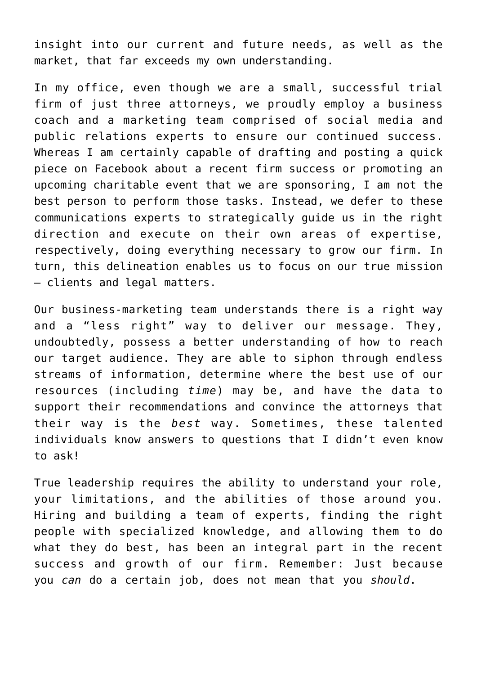insight into our current and future needs, as well as the market, that far exceeds my own understanding.

In my office, even though we are a small, successful trial firm of just three attorneys, we proudly employ a business coach and a marketing team comprised of social media and public relations experts to ensure our continued success. Whereas I am certainly capable of drafting and posting a quick piece on Facebook about a recent firm success or promoting an upcoming charitable event that we are sponsoring, I am not the best person to perform those tasks. Instead, we defer to these communications experts to strategically guide us in the right direction and execute on their own areas of expertise, respectively, doing everything necessary to grow our firm. In turn, this delineation enables us to focus on our true mission — clients and legal matters.

Our business-marketing team understands there is a right way and a "less right" way to deliver our message. They, undoubtedly, possess a better understanding of how to reach our target audience. They are able to siphon through endless streams of information, determine where the best use of our resources (including *time*) may be, and have the data to support their recommendations and convince the attorneys that their way is the *best* way. Sometimes, these talented individuals know answers to questions that I didn't even know to ask!

True leadership requires the ability to understand your role, your limitations, and the abilities of those around you. Hiring and building a team of experts, finding the right people with specialized knowledge, and allowing them to do what they do best, has been an integral part in the recent success and growth of our firm. Remember: Just because you *can* do a certain job, does not mean that you *should*.